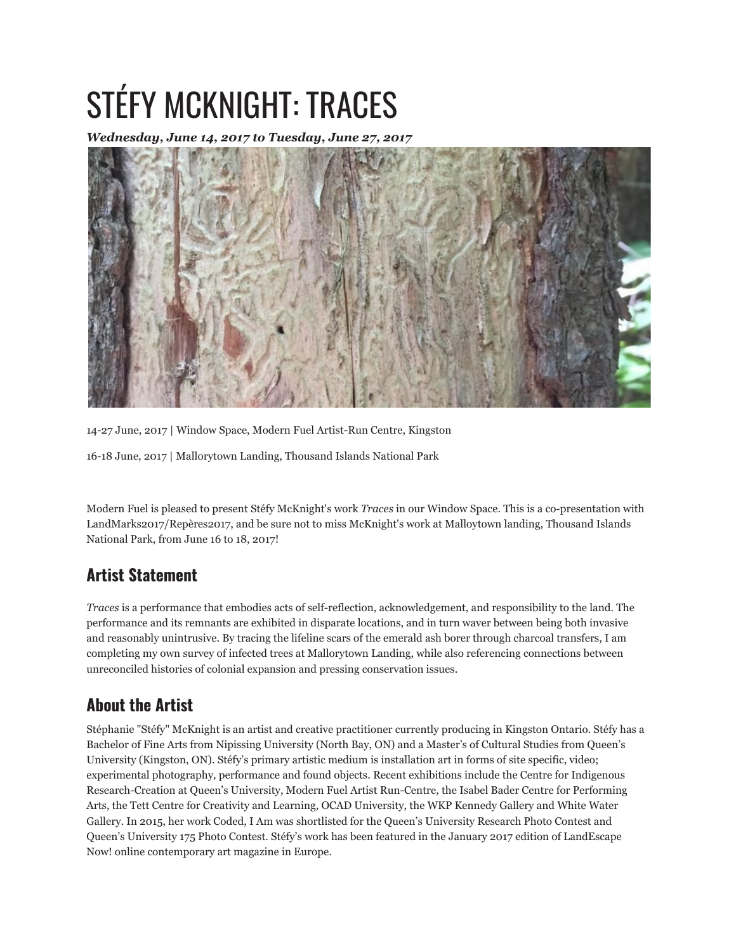## STÉFY MCKNIGHT: TRACES

*Wednesday, June 14, 2017 to Tuesday, June 27, 2017*



14-27 June, 2017 | Window Space, Modern Fuel Artist-Run Centre, Kingston

16-18 June, 2017 | Mallorytown Landing, Thousand Islands National Park

Modern Fuel is pleased to present Stéfy McKnight's work *Traces* in our Window Space. This is a co-presentation with LandMarks2017/Repères2017, and be sure not to miss McKnight's work at Malloytown landing, Thousand Islands National Park, from June 16 to 18, 2017!

## **Artist Statement**

*Traces* is a performance that embodies acts of self-reflection, acknowledgement, and responsibility to the land. The performance and its remnants are exhibited in disparate locations, and in turn waver between being both invasive and reasonably unintrusive. By tracing the lifeline scars of the emerald ash borer through charcoal transfers, I am completing my own survey of infected trees at Mallorytown Landing, while also referencing connections between unreconciled histories of colonial expansion and pressing conservation issues.

## **About the Artist**

Stéphanie "Stéfy" McKnight is an artist and creative practitioner currently producing in Kingston Ontario. Stéfy has a Bachelor of Fine Arts from Nipissing University (North Bay, ON) and a Master's of Cultural Studies from Queen's University (Kingston, ON). Stéfy's primary artistic medium is installation art in forms of site specific, video; experimental photography, performance and found objects. Recent exhibitions include the Centre for Indigenous Research-Creation at Queen's University, Modern Fuel Artist Run-Centre, the Isabel Bader Centre for Performing Arts, the Tett Centre for Creativity and Learning, OCAD University, the WKP Kennedy Gallery and White Water Gallery. In 2015, her work Coded, I Am was shortlisted for the Queen's University Research Photo Contest and Queen's University 175 Photo Contest. Stéfy's work has been featured in the January 2017 edition of LandEscape Now! online contemporary art magazine in Europe.